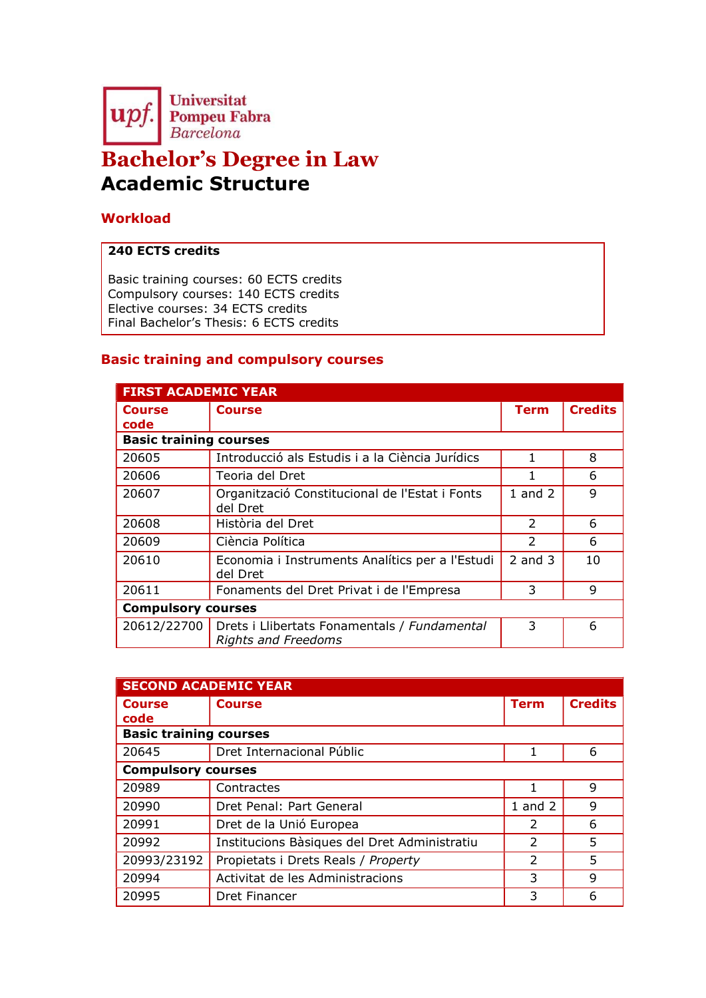

# Bachelor's Degree in Law Academic Structure

## **Workload**

### 240 ECTS credits

Basic training courses: 60 ECTS credits Compulsory courses: 140 ECTS credits Elective courses: 34 ECTS credits Final Bachelor's Thesis: 6 ECTS credits

### Basic training and compulsory courses

| <b>FIRST ACADEMIC YEAR</b>    |                                                                            |               |                |
|-------------------------------|----------------------------------------------------------------------------|---------------|----------------|
| <b>Course</b><br>code         | <b>Course</b>                                                              | <b>Term</b>   | <b>Credits</b> |
| <b>Basic training courses</b> |                                                                            |               |                |
| 20605                         | Introducció als Estudis i a la Ciència Jurídics                            | 1             | 8              |
| 20606                         | Teoria del Dret                                                            |               | 6              |
| 20607                         | Organització Constitucional de l'Estat i Fonts<br>del Dret                 | $1$ and $2$   | 9              |
| 20608                         | Història del Dret                                                          | $\mathcal{P}$ | 6              |
| 20609                         | Ciència Política                                                           | $\mathcal{P}$ | 6              |
| 20610                         | Economia i Instruments Analítics per a l'Estudi<br>del Dret                | 2 and $3$     | 10             |
| 20611                         | Fonaments del Dret Privat i de l'Empresa                                   | 3             | 9              |
| <b>Compulsory courses</b>     |                                                                            |               |                |
| 20612/22700                   | Drets i Llibertats Fonamentals / Fundamental<br><b>Rights and Freedoms</b> | 3             | 6              |

| <b>SECOND ACADEMIC YEAR</b>   |                                              |                |                |  |
|-------------------------------|----------------------------------------------|----------------|----------------|--|
| <b>Course</b>                 | <b>Course</b>                                | <b>Term</b>    | <b>Credits</b> |  |
| code                          |                                              |                |                |  |
| <b>Basic training courses</b> |                                              |                |                |  |
| 20645                         | Dret Internacional Públic                    | 1              | 6              |  |
|                               | <b>Compulsory courses</b>                    |                |                |  |
| 20989                         | Contractes                                   |                | 9              |  |
| 20990                         | Dret Penal: Part General                     | $1$ and $2$    | 9              |  |
| 20991                         | Dret de la Unió Europea                      | $\mathcal{P}$  | 6              |  |
| 20992                         | Institucions Bàsiques del Dret Administratiu | $\mathfrak{D}$ | 5              |  |
| 20993/23192                   | Propietats i Drets Reals / Property          | $\mathcal{P}$  | 5              |  |
| 20994                         | Activitat de les Administracions             | 3              | 9              |  |
| 20995                         | Dret Financer                                | 3              | 6              |  |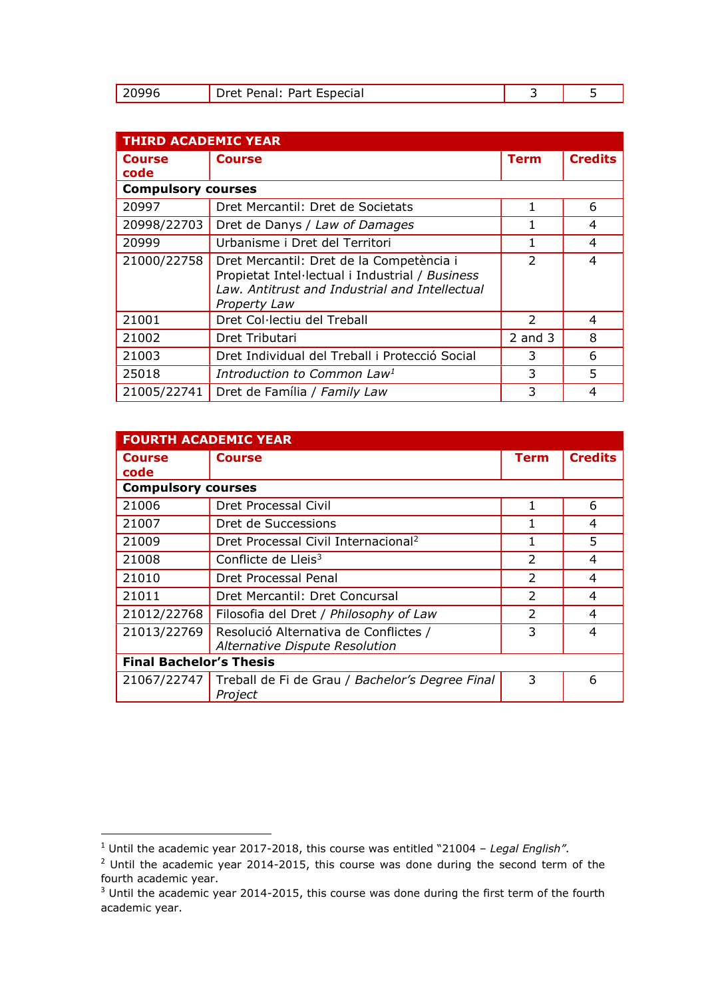|  | Dret Penal: Part Especial |  |  |
|--|---------------------------|--|--|
|--|---------------------------|--|--|

| <b>THIRD ACADEMIC YEAR</b> |                                                                                                                                                               |                          |                |
|----------------------------|---------------------------------------------------------------------------------------------------------------------------------------------------------------|--------------------------|----------------|
| <b>Course</b><br>code      | <b>Course</b>                                                                                                                                                 | Term                     | <b>Credits</b> |
| <b>Compulsory courses</b>  |                                                                                                                                                               |                          |                |
| 20997                      | Dret Mercantil: Dret de Societats                                                                                                                             |                          | 6              |
| 20998/22703                | Dret de Danys / Law of Damages                                                                                                                                |                          | 4              |
| 20999                      | Urbanisme i Dret del Territori                                                                                                                                |                          | 4              |
| 21000/22758                | Dret Mercantil: Dret de la Competència i<br>Propietat Intel·lectual i Industrial / Business<br>Law, Antitrust and Industrial and Intellectual<br>Property Law | $\overline{\phantom{a}}$ | 4              |
| 21001                      | Dret Col·lectiu del Treball                                                                                                                                   | $\mathcal{P}$            | 4              |
| 21002                      | Dret Tributari                                                                                                                                                | $2$ and $3$              | 8              |
| 21003                      | Dret Individual del Treball i Protecció Social                                                                                                                | 3                        | 6              |
| 25018                      | Introduction to Common Law <sup>1</sup>                                                                                                                       | 3                        | 5              |
| 21005/22741                | Dret de Família / Family Law                                                                                                                                  | 3                        | 4              |

| <b>FOURTH ACADEMIC YEAR</b>    |                                                                         |                          |                |
|--------------------------------|-------------------------------------------------------------------------|--------------------------|----------------|
| <b>Course</b><br>code          | <b>Course</b>                                                           | <b>Term</b>              | <b>Credits</b> |
|                                | <b>Compulsory courses</b>                                               |                          |                |
| 21006                          | Dret Processal Civil                                                    |                          | 6              |
| 21007                          | Dret de Successions                                                     |                          | 4              |
| 21009                          | Dret Processal Civil Internacional <sup>2</sup>                         |                          | 5              |
| 21008                          | Conflicte de Lleis $3$                                                  | $\overline{\phantom{a}}$ | 4              |
| 21010                          | Dret Processal Penal                                                    | $\mathcal{P}$            | 4              |
| 21011                          | Dret Mercantil: Dret Concursal                                          | $\overline{2}$           | 4              |
| 21012/22768                    | Filosofia del Dret / Philosophy of Law                                  | $\overline{2}$           | 4              |
| 21013/22769                    | Resolució Alternativa de Conflictes /<br>Alternative Dispute Resolution | 3                        | 4              |
| <b>Final Bachelor's Thesis</b> |                                                                         |                          |                |
| 21067/22747                    | Treball de Fi de Grau / Bachelor's Degree Final<br>Project              | 3                        | 6              |

<sup>&</sup>lt;sup>1</sup> Until the academic year 2017-2018, this course was entitled "21004 - Legal English".

 $2$  Until the academic year 2014-2015, this course was done during the second term of the fourth academic year.

 $3$  Until the academic year 2014-2015, this course was done during the first term of the fourth academic year.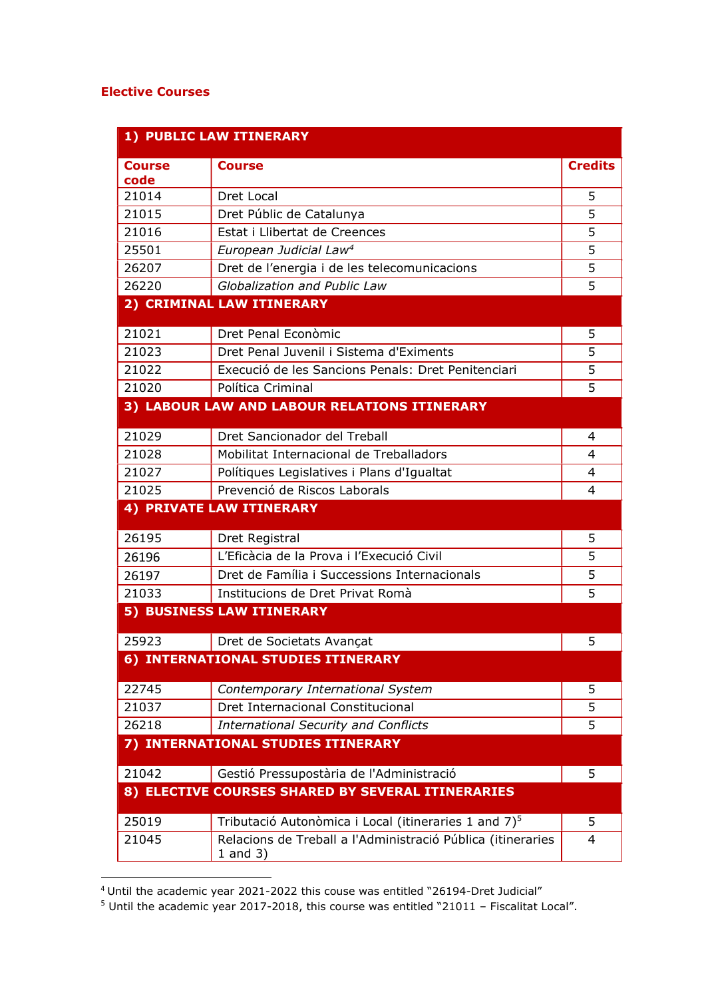#### Elective Courses

|                       | 1) PUBLIC LAW ITINERARY                                                     |                |
|-----------------------|-----------------------------------------------------------------------------|----------------|
| <b>Course</b><br>code | <b>Course</b>                                                               | <b>Credits</b> |
| 21014                 | Dret Local                                                                  | 5              |
| 21015                 | Dret Públic de Catalunya                                                    | 5              |
| 21016                 | Estat i Llibertat de Creences                                               | 5              |
| 25501                 | European Judicial Law <sup>4</sup>                                          | 5              |
| 26207                 | Dret de l'energia i de les telecomunicacions                                | 5              |
| 26220                 | Globalization and Public Law                                                | 5              |
|                       | 2) CRIMINAL LAW ITINERARY                                                   |                |
| 21021                 | Dret Penal Econòmic                                                         | 5              |
| 21023                 | Dret Penal Juvenil i Sistema d'Eximents                                     | 5              |
| 21022                 | Execució de les Sancions Penals: Dret Penitenciari                          | 5              |
| 21020                 | Política Criminal                                                           | 5              |
|                       | 3) LABOUR LAW AND LABOUR RELATIONS ITINERARY                                |                |
| 21029                 | Dret Sancionador del Treball                                                | $\overline{4}$ |
| 21028                 | Mobilitat Internacional de Treballadors                                     | 4              |
| 21027                 | Polítiques Legislatives i Plans d'Igualtat                                  | $\overline{4}$ |
| 21025                 | Prevenció de Riscos Laborals                                                | 4              |
|                       | <b>4) PRIVATE LAW ITINERARY</b>                                             |                |
| 26195                 | Dret Registral                                                              | 5              |
| 26196                 | L'Eficàcia de la Prova i l'Execució Civil                                   | 5              |
| 26197                 | Dret de Família i Successions Internacionals                                | 5              |
| 21033                 | Institucions de Dret Privat Romà                                            | 5              |
|                       | 5) BUSINESS LAW ITINERARY                                                   |                |
| 25923                 | Dret de Societats Avançat                                                   | 5              |
|                       | 6) INTERNATIONAL STUDIES ITINERARY                                          |                |
| 22745                 | Contemporary International System                                           | 5              |
| 21037                 | Dret Internacional Constitucional                                           | 5              |
| 26218                 | <b>International Security and Conflicts</b>                                 | 5              |
|                       | 7) INTERNATIONAL STUDIES ITINERARY                                          |                |
| 21042                 | Gestió Pressupostària de l'Administració                                    | 5              |
|                       | 8) ELECTIVE COURSES SHARED BY SEVERAL ITINERARIES                           |                |
| 25019                 | Tributació Autonòmica i Local (itineraries 1 and 7) <sup>5</sup>            | 5              |
| 21045                 | Relacions de Treball a l'Administració Pública (itineraries<br>$1$ and $3)$ | 4              |

 $4$  Until the academic year 2021-2022 this couse was entitled "26194-Dret Judicial"

 $5$  Until the academic year 2017-2018, this course was entitled "21011 - Fiscalitat Local".